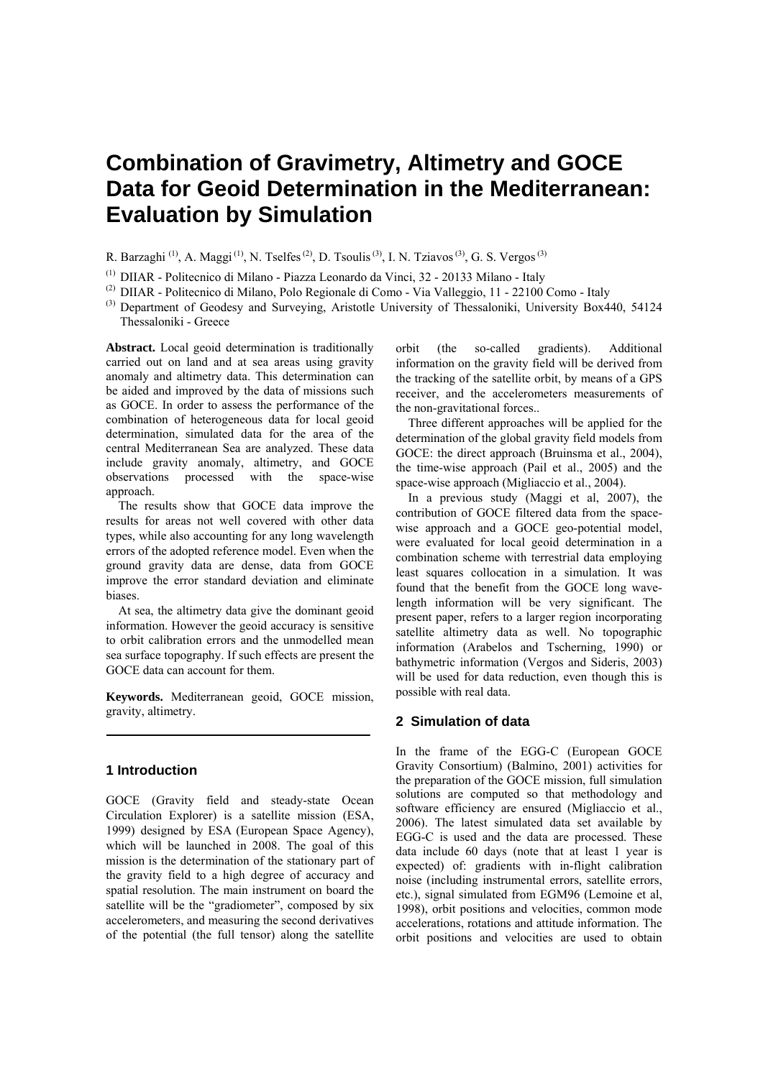# **Combination of Gravimetry, Altimetry and GOCE Data for Geoid Determination in the Mediterranean: Evaluation by Simulation**

- R. Barzaghi<sup>(1)</sup>, A. Maggi<sup>(1)</sup>, N. Tselfes<sup>(2)</sup>, D. Tsoulis<sup>(3)</sup>, I. N. Tziavos<sup>(3)</sup>, G. S. Vergos<sup>(3)</sup>
- (1) DIIAR Politecnico di Milano Piazza Leonardo da Vinci, 32 20133 Milano Italy
- (2) DIIAR Politecnico di Milano, Polo Regionale di Como Via Valleggio, 11 22100 Como Italy
- (3) Department of Geodesy and Surveying, Aristotle University of Thessaloniki, University Box440, 54124 Thessaloniki - Greece

**Abstract.** Local geoid determination is traditionally carried out on land and at sea areas using gravity anomaly and altimetry data. This determination can be aided and improved by the data of missions such as GOCE. In order to assess the performance of the combination of heterogeneous data for local geoid determination, simulated data for the area of the central Mediterranean Sea are analyzed. These data include gravity anomaly, altimetry, and GOCE observations processed with the space-wise approach.

The results show that GOCE data improve the results for areas not well covered with other data types, while also accounting for any long wavelength errors of the adopted reference model. Even when the ground gravity data are dense, data from GOCE improve the error standard deviation and eliminate biases.

At sea, the altimetry data give the dominant geoid information. However the geoid accuracy is sensitive to orbit calibration errors and the unmodelled mean sea surface topography. If such effects are present the GOCE data can account for them.

**Keywords.** Mediterranean geoid, GOCE mission, gravity, altimetry.

## **1 Introduction**

GOCE (Gravity field and steady-state Ocean Circulation Explorer) is a satellite mission (ESA, 1999) designed by ESA (European Space Agency), which will be launched in 2008. The goal of this mission is the determination of the stationary part of the gravity field to a high degree of accuracy and spatial resolution. The main instrument on board the satellite will be the "gradiometer", composed by six accelerometers, and measuring the second derivatives of the potential (the full tensor) along the satellite

orbit (the so-called gradients). Additional information on the gravity field will be derived from the tracking of the satellite orbit, by means of a GPS receiver, and the accelerometers measurements of the non-gravitational forces..

Three different approaches will be applied for the determination of the global gravity field models from GOCE: the direct approach (Bruinsma et al., 2004), the time-wise approach (Pail et al., 2005) and the space-wise approach (Migliaccio et al., 2004).

In a previous study (Maggi et al, 2007), the contribution of GOCE filtered data from the spacewise approach and a GOCE geo-potential model, were evaluated for local geoid determination in a combination scheme with terrestrial data employing least squares collocation in a simulation. It was found that the benefit from the GOCE long wavelength information will be very significant. The present paper, refers to a larger region incorporating satellite altimetry data as well. No topographic information (Arabelos and Tscherning, 1990) or bathymetric information (Vergos and Sideris, 2003) will be used for data reduction, even though this is possible with real data.

#### **2 Simulation of data**

In the frame of the EGG-C (European GOCE Gravity Consortium) (Balmino, 2001) activities for the preparation of the GOCE mission, full simulation solutions are computed so that methodology and software efficiency are ensured (Migliaccio et al., 2006). The latest simulated data set available by EGG-C is used and the data are processed. These data include 60 days (note that at least 1 year is expected) of: gradients with in-flight calibration noise (including instrumental errors, satellite errors, etc.), signal simulated from EGM96 (Lemoine et al, 1998), orbit positions and velocities, common mode accelerations, rotations and attitude information. The orbit positions and velocities are used to obtain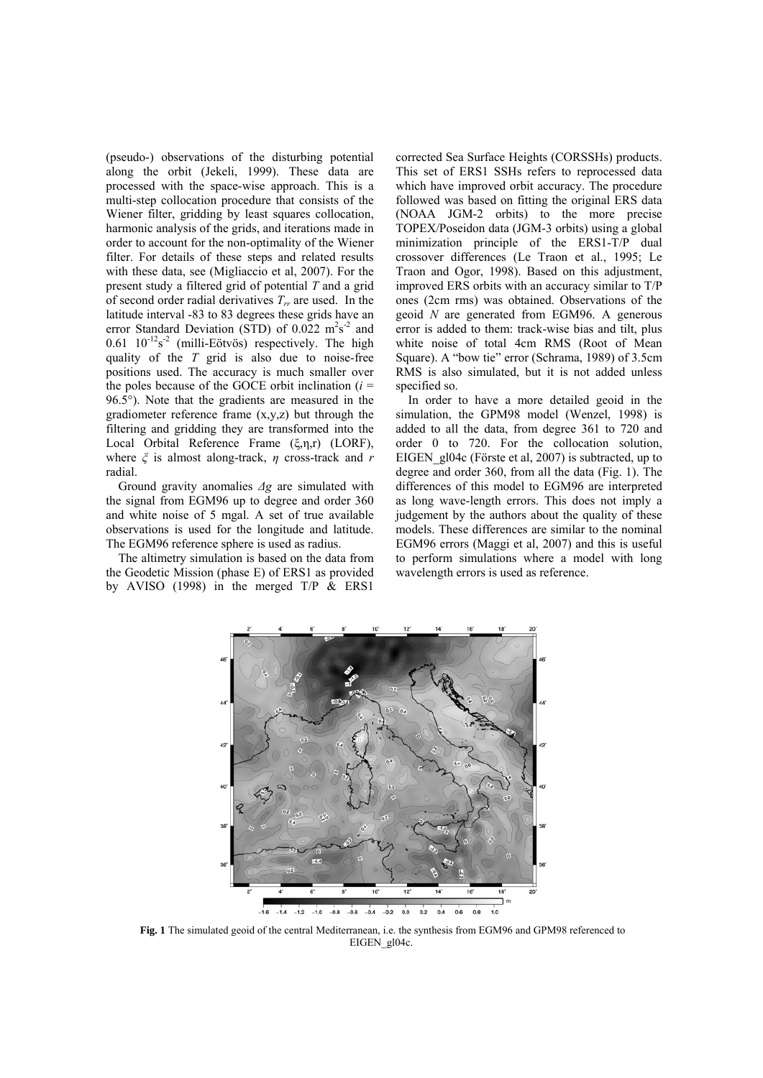(pseudo-) observations of the disturbing potential along the orbit (Jekeli, 1999). These data are processed with the space-wise approach. This is a multi-step collocation procedure that consists of the Wiener filter, gridding by least squares collocation, harmonic analysis of the grids, and iterations made in order to account for the non-optimality of the Wiener filter. For details of these steps and related results with these data, see (Migliaccio et al, 2007). For the present study a filtered grid of potential *T* and a grid of second order radial derivatives  $T_{rr}$  are used. In the latitude interval -83 to 83 degrees these grids have an error Standard Deviation (STD) of  $0.022 \text{ m}^2\text{s}^{-2}$  and  $0.61 \, 10^{-12}$ s<sup>-2</sup> (milli-Eötvös) respectively. The high quality of the *T* grid is also due to noise-free positions used. The accuracy is much smaller over the poles because of the GOCE orbit inclination  $(i =$ 96.5°). Note that the gradients are measured in the gradiometer reference frame  $(x,y,z)$  but through the filtering and gridding they are transformed into the Local Orbital Reference Frame (ξ,η,r) (LORF), where *ξ* is almost along-track, *η* cross-track and *r* radial.

Ground gravity anomalies *Δg* are simulated with the signal from EGM96 up to degree and order 360 and white noise of 5 mgal. A set of true available observations is used for the longitude and latitude. The EGM96 reference sphere is used as radius.

The altimetry simulation is based on the data from the Geodetic Mission (phase E) of ERS1 as provided by AVISO (1998) in the merged  $T/P \& ERS1$ 

corrected Sea Surface Heights (CORSSHs) products. This set of ERS1 SSHs refers to reprocessed data which have improved orbit accuracy. The procedure followed was based on fitting the original ERS data (NOAA JGM-2 orbits) to the more precise TOPEX/Poseidon data (JGM-3 orbits) using a global minimization principle of the ERS1-T/P dual crossover differences (Le Traon et al., 1995; Le Traon and Ogor, 1998). Based on this adjustment, improved ERS orbits with an accuracy similar to T/P ones (2cm rms) was obtained. Observations of the geoid *N* are generated from EGM96. A generous error is added to them: track-wise bias and tilt, plus white noise of total 4cm RMS (Root of Mean Square). A "bow tie" error (Schrama, 1989) of 3.5cm RMS is also simulated, but it is not added unless specified so.

In order to have a more detailed geoid in the simulation, the GPM98 model (Wenzel, 1998) is added to all the data, from degree 361 to 720 and order 0 to 720. For the collocation solution, EIGEN\_gl04c (Förste et al, 2007) is subtracted, up to degree and order 360, from all the data (Fig. 1). The differences of this model to EGM96 are interpreted as long wave-length errors. This does not imply a judgement by the authors about the quality of these models. These differences are similar to the nominal EGM96 errors (Maggi et al, 2007) and this is useful to perform simulations where a model with long wavelength errors is used as reference.



**Fig. 1** The simulated geoid of the central Mediterranean, i.e. the synthesis from EGM96 and GPM98 referenced to EIGEN\_gl04c.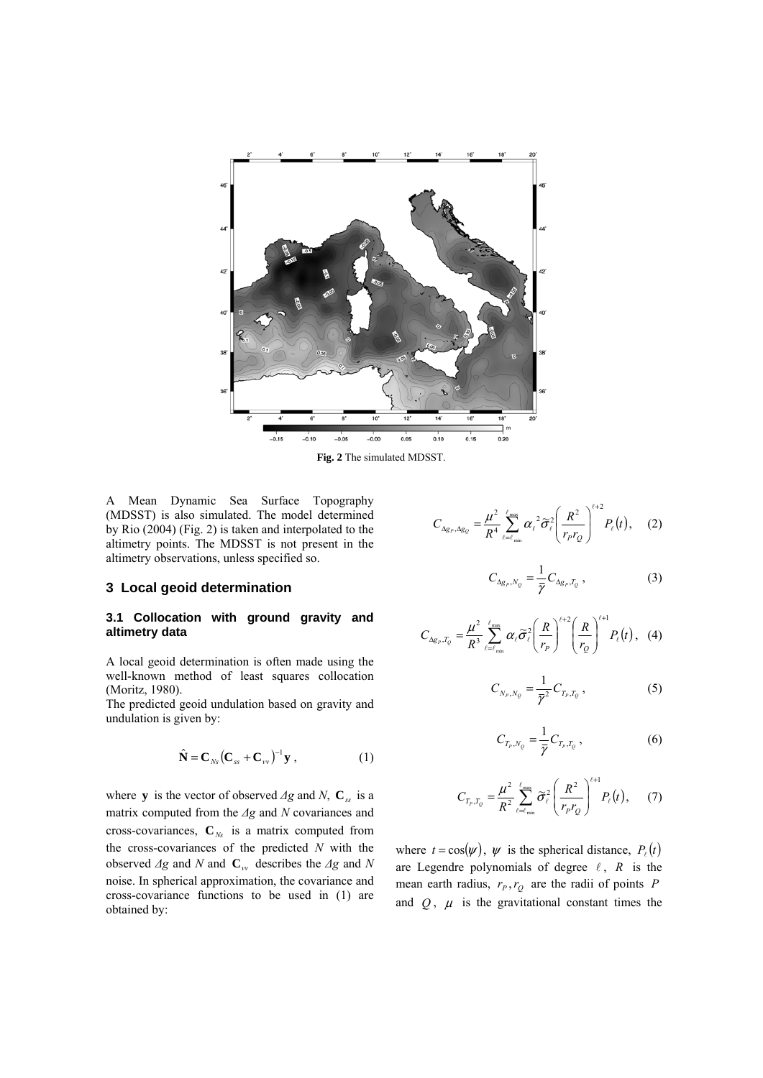

**Fig. 2** The simulated MDSST.

A Mean Dynamic Sea Surface Topography (MDSST) is also simulated. The model determined by Rio (2004) (Fig. 2) is taken and interpolated to the altimetry points. The MDSST is not present in the altimetry observations, unless specified so.

## **3 Local geoid determination**

## **3.1 Collocation with ground gravity and altimetry data**

A local geoid determination is often made using the well-known method of least squares collocation (Moritz, 1980).

The predicted geoid undulation based on gravity and undulation is given by:

$$
\hat{\mathbf{N}} = \mathbf{C}_{N_{\mathcal{S}}} \big( \mathbf{C}_{ss} + \mathbf{C}_{vv} \big)^{-1} \mathbf{y} , \qquad (1)
$$

where **y** is the vector of observed  $\Delta g$  and *N*,  $\mathbf{C}_{ss}$  is a matrix computed from the *Δg* and *N* covariances and cross-covariances, **C***Ns* is a matrix computed from the cross-covariances of the predicted *N* with the observed *Δg* and *N* and **C***vv* describes the *Δg* and *N* noise. In spherical approximation, the covariance and cross-covariance functions to be used in (1) are obtained by:

$$
C_{\Delta g_P, \Delta g_Q} = \frac{\mu^2}{R^4} \sum_{\ell=\ell_{\rm min}}^{\ell_{\rm max}} \alpha_\ell^2 \widetilde{\sigma}_\ell^2 \left(\frac{R^2}{r_P r_Q}\right)^{\ell+2} P_\ell(t), \quad (2)
$$

$$
C_{\Delta g_P, N_Q} = \frac{1}{\overline{\gamma}} C_{\Delta g_P, T_Q}, \qquad (3)
$$

$$
C_{\Delta g_p,T_Q} = \frac{\mu^2}{R^3} \sum_{\ell=\ell_{\min}}^{\ell_{\max}} \alpha_\ell \widetilde{\sigma}_\ell^2 \left(\frac{R}{r_p}\right)^{\ell+2} \left(\frac{R}{r_Q}\right)^{\ell+1} P_\ell(t), \quad (4)
$$

$$
C_{N_P,N_Q} = \frac{1}{\bar{\gamma}^2} C_{T_P,T_Q},
$$
\n(5)

$$
C_{T_p, N_Q} = \frac{1}{\bar{\gamma}} C_{T_p, T_Q}, \qquad (6)
$$

$$
C_{T_p,T_Q} = \frac{\mu^2}{R^2} \sum_{\ell=\ell_{\min}}^{\ell_{\max}} \widetilde{\sigma}_{\ell}^2 \left(\frac{R^2}{r_p r_Q}\right)^{\ell+1} P_{\ell}(t), \quad (7)
$$

where  $t = \cos(\psi)$ ,  $\psi$  is the spherical distance,  $P_{\ell}(t)$ are Legendre polynomials of degree  $\ell$ ,  $R$  is the mean earth radius,  $r_p, r_Q$  are the radii of points *P* and  $Q$ ,  $\mu$  is the gravitational constant times the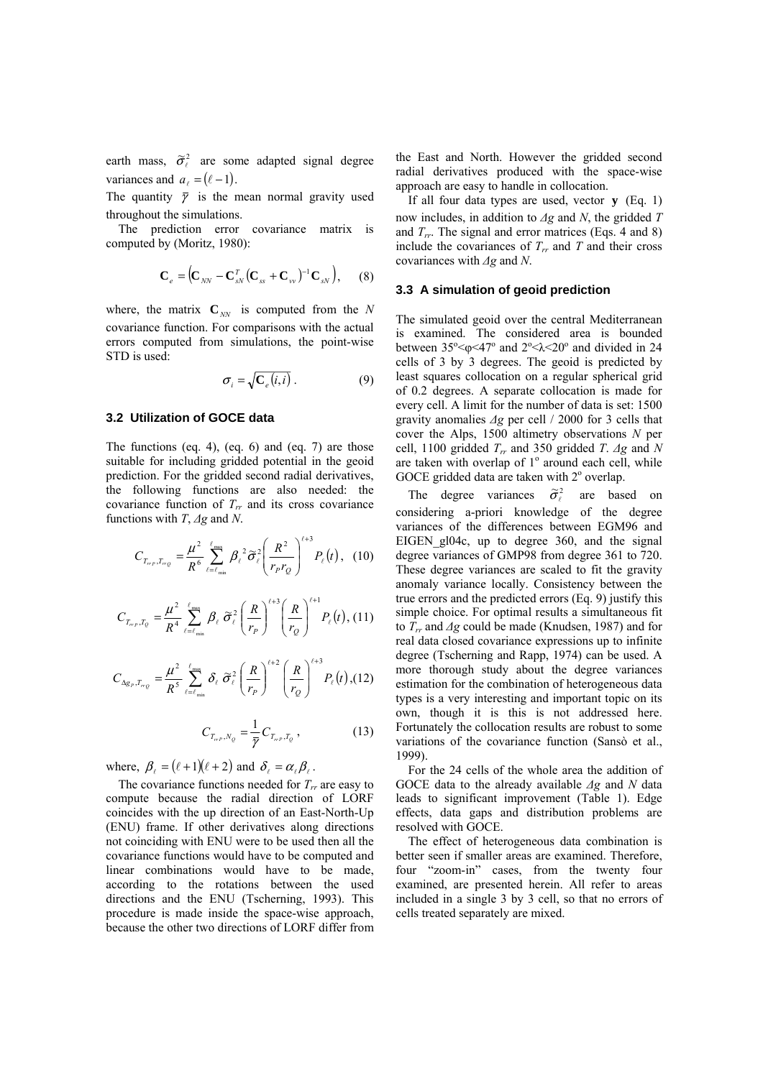earth mass,  $\tilde{\sigma}_{\ell}^2$  are some adapted signal degree variances and  $a_{\ell} = (\ell - 1)$ .

The quantity  $\bar{\gamma}$  is the mean normal gravity used throughout the simulations.

The prediction error covariance matrix is computed by (Moritz, 1980):

$$
\mathbf{C}_e = \left(\mathbf{C}_{NN} - \mathbf{C}_{sN}^T \left(\mathbf{C}_{ss} + \mathbf{C}_{vv}\right)^{-1} \mathbf{C}_{sN}\right), \qquad (8)
$$

where, the matrix  $C_{NN}$  is computed from the *N* covariance function. For comparisons with the actual errors computed from simulations, the point-wise STD is used:

$$
\sigma_i = \sqrt{\mathbf{C}_e(i,i)}\,. \tag{9}
$$

## **3.2 Utilization of GOCE data**

The functions (eq. 4), (eq. 6) and (eq. 7) are those suitable for including gridded potential in the geoid prediction. For the gridded second radial derivatives, the following functions are also needed: the covariance function of  $T_{rr}$  and its cross covariance functions with *T*, *Δg* and *N*.

$$
C_{T_{\text{FP}},T_{\text{FP}}} = \frac{\mu^2}{R^6} \sum_{\ell=\ell_{\text{min}}}^{\ell_{\text{max}}} \beta_{\ell}^2 \widetilde{\sigma}_{\ell}^2 \left(\frac{R^2}{r_{\text{P}} r_{\text{Q}}}\right)^{\ell+3} P_{\ell}(t), \quad (10)
$$

$$
C_{T_{\text{nr},r}} = \frac{\mu^2}{R^4} \sum_{\ell=\ell_{\text{min}}}^{\ell_{\text{max}}} \beta_\ell \ \widetilde{\sigma}_\ell^2 \left(\frac{R}{r_p}\right)^{\ell+3} \left(\frac{R}{r_Q}\right)^{\ell+1} P_\ell(t), (11)
$$

$$
C_{\Delta g_P, T_{\pi_Q}} = \frac{\mu^2}{R^5} \sum_{\ell=\ell_{\min}}^{\ell_{\max}} \delta_\ell \ \widetilde{\sigma}_\ell^2 \left(\frac{R}{r_P}\right)^{\ell+2} \left(\frac{R}{r_Q}\right)^{\ell+3} P_\ell(t), (12)
$$

$$
C_{T_{\pi_P}, N_Q} = \frac{1}{\bar{\gamma}} C_{T_{\pi_P}, T_Q}, \qquad (13)
$$

where,  $\beta_{\ell} = (\ell + 1)(\ell + 2)$  and  $\delta_{\ell} = \alpha_{\ell} \beta_{\ell}$ .

The covariance functions needed for  $T_{rr}$  are easy to compute because the radial direction of LORF coincides with the up direction of an East-North-Up (ENU) frame. If other derivatives along directions not coinciding with ENU were to be used then all the covariance functions would have to be computed and linear combinations would have to be made, according to the rotations between the used directions and the ENU (Tscherning, 1993). This procedure is made inside the space-wise approach, because the other two directions of LORF differ from

the East and North. However the gridded second radial derivatives produced with the space-wise approach are easy to handle in collocation.

If all four data types are used, vector **y** (Eq. 1) now includes, in addition to *Δg* and *N*, the gridded *T* and  $T_{rr}$ . The signal and error matrices (Eqs. 4 and 8) include the covariances of  $T_{rr}$  and *T* and their cross covariances with *Δg* and *N*.

#### **3.3 A simulation of geoid prediction**

The simulated geoid over the central Mediterranean is examined. The considered area is bounded between  $35^{\circ}$ < $\varphi$ <47° and  $2^{\circ}$ < $\lambda$ <20° and divided in 24 cells of 3 by 3 degrees. The geoid is predicted by least squares collocation on a regular spherical grid of 0.2 degrees. A separate collocation is made for every cell. A limit for the number of data is set: 1500 gravity anomalies *Δg* per cell / 2000 for 3 cells that cover the Alps, 1500 altimetry observations *N* per cell, 1100 gridded *Trr* and 350 gridded *T*. *Δg* and *N* are taken with overlap of  $1^\circ$  around each cell, while GOCE gridded data are taken with  $2^{\circ}$  overlap.

The degree variances  $\tilde{\sigma}_{\ell}^2$  are based on considering a-priori knowledge of the degree variances of the differences between EGM96 and EIGEN gl04c, up to degree 360, and the signal degree variances of GMP98 from degree 361 to 720. These degree variances are scaled to fit the gravity anomaly variance locally. Consistency between the true errors and the predicted errors (Eq. 9) justify this simple choice. For optimal results a simultaneous fit to *Trr* and *Δg* could be made (Knudsen, 1987) and for real data closed covariance expressions up to infinite degree (Tscherning and Rapp, 1974) can be used. A more thorough study about the degree variances estimation for the combination of heterogeneous data types is a very interesting and important topic on its own, though it is this is not addressed here. Fortunately the collocation results are robust to some variations of the covariance function (Sansò et al., 1999).

For the 24 cells of the whole area the addition of GOCE data to the already available *Δg* and *N* data leads to significant improvement (Table 1). Edge effects, data gaps and distribution problems are resolved with GOCE.

The effect of heterogeneous data combination is better seen if smaller areas are examined. Therefore, four "zoom-in" cases, from the twenty four examined, are presented herein. All refer to areas included in a single 3 by 3 cell, so that no errors of cells treated separately are mixed.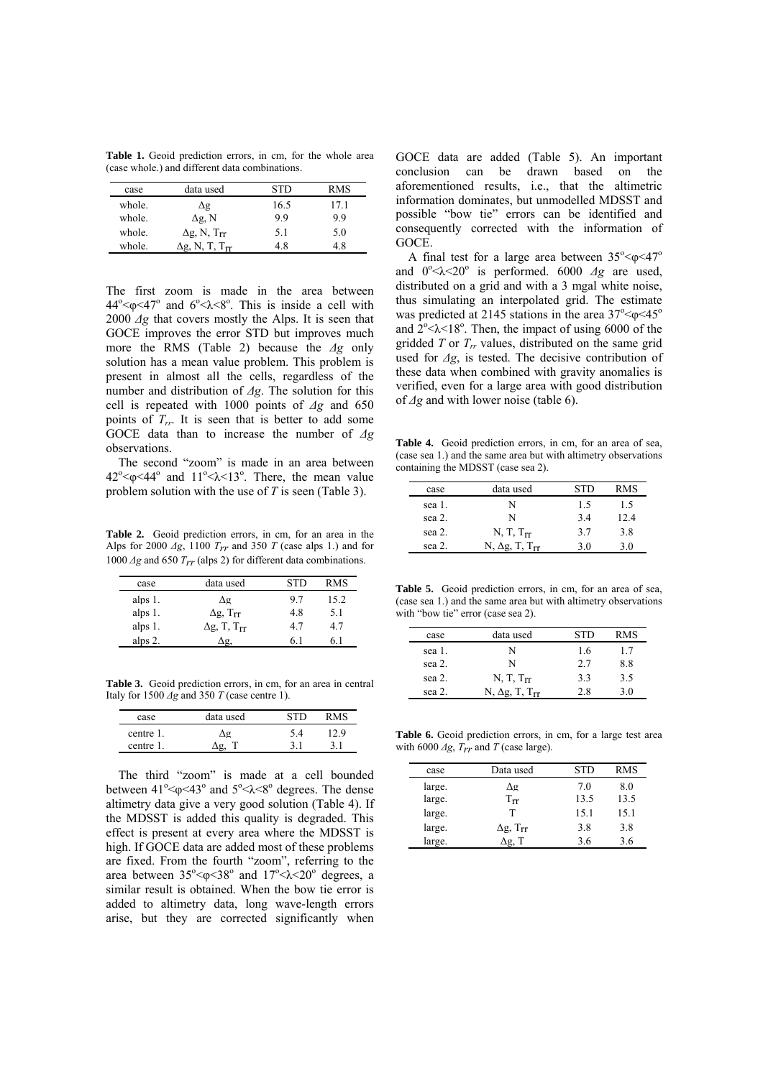**Table 1.** Geoid prediction errors, in cm, for the whole area (case whole.) and different data combinations.

| case   | data used                      | STD  | RMS  |
|--------|--------------------------------|------|------|
| whole. | Δg                             | 16.5 | 17.1 |
| whole. | $\Delta$ g, N                  | 9.9  | 9.9  |
| whole. | $\Delta$ g, N, T <sub>IT</sub> | 5.1  | 5.0  |
| whole. |                                | 48   |      |

The first zoom is made in the area between  $44^{\circ}$  <  $47^{\circ}$  and  $6^{\circ}$  <  $\lambda$  < 8°. This is inside a cell with 2000 *Δg* that covers mostly the Alps. It is seen that GOCE improves the error STD but improves much more the RMS (Table 2) because the *Δg* only solution has a mean value problem. This problem is present in almost all the cells, regardless of the number and distribution of *Δg*. The solution for this cell is repeated with 1000 points of *Δg* and 650 points of  $T_{rr}$ . It is seen that is better to add some GOCE data than to increase the number of *Δg*  observations.

The second "zoom" is made in an area between  $42^{\circ}$   $\leq \varphi \leq 44^{\circ}$  and  $11^{\circ}$   $\leq \lambda \leq 13^{\circ}$ . There, the mean value problem solution with the use of *T* is seen (Table 3).

**Table 2.** Geoid prediction errors, in cm, for an area in the Alps for 2000 *Δg*, 1100 *Trr* and 350 *T* (case alps 1.) and for 1000 *Δg* and 650 *Trr* (alps 2) for different data combinations.

| case    | data used                      | STD | <b>RMS</b> |
|---------|--------------------------------|-----|------------|
| alps 1. | Δg                             | 9.7 | 15.2       |
| alps 1. | $\Delta$ g, T <sub>rr</sub>    | 4.8 | 5.1        |
| alps 1. | $\Delta$ g, T, T <sub>rr</sub> | 4.7 | 4.7        |
| alps 2. |                                | 61  |            |

**Table 3.** Geoid prediction errors, in cm, for an area in central Italy for 1500 *Δg* and 350 *T* (case centre 1).

| case      | data used |  |
|-----------|-----------|--|
| centre 1. | $\sigma$  |  |
| centre 1. |           |  |

The third "zoom" is made at a cell bounded between  $41^{\circ}$  <  $\phi$  <  $43^{\circ}$  and  $5^{\circ}$  <  $\lambda$  <  $8^{\circ}$  degrees. The dense altimetry data give a very good solution (Table 4). If the MDSST is added this quality is degraded. This effect is present at every area where the MDSST is high. If GOCE data are added most of these problems are fixed. From the fourth "zoom", referring to the area between  $35^{\circ}$  <  $\phi$  <  $38^{\circ}$  and  $17^{\circ}$  <  $\lambda$  < 20° degrees, a similar result is obtained. When the bow tie error is added to altimetry data, long wave-length errors arise, but they are corrected significantly when

GOCE data are added (Table 5). An important conclusion can be drawn based on the aforementioned results, i.e., that the altimetric information dominates, but unmodelled MDSST and possible "bow tie" errors can be identified and consequently corrected with the information of GOCE.

A final test for a large area between  $35^{\circ} < \varphi < 47^{\circ}$ and  $0^{\circ}$  < $\lambda$  <20° is performed. 6000  $\varDelta$ *g* are used, distributed on a grid and with a 3 mgal white noise, thus simulating an interpolated grid. The estimate was predicted at 2145 stations in the area  $37^{\circ}$  <  $\phi$  < 45° and  $2^{\circ} < \lambda < 18^{\circ}$ . Then, the impact of using 6000 of the gridded  $T$  or  $T_{rr}$  values, distributed on the same grid used for *Δg*, is tested. The decisive contribution of these data when combined with gravity anomalies is verified, even for a large area with good distribution of *Δg* and with lower noise (table 6).

**Table 4.** Geoid prediction errors, in cm, for an area of sea, (case sea 1.) and the same area but with altimetry observations containing the MDSST (case sea 2).

| case   | data used             | STD | RMS  |
|--------|-----------------------|-----|------|
| sea 1. |                       | 1.5 | 15   |
| sea 2. | N                     | 3.4 | 12.4 |
| sea 2. | N, T, T <sub>rr</sub> | 3.7 | 3.8  |
| sea 2. | T, Trr                | 30  | 30   |

Table 5. Geoid prediction errors, in cm, for an area of sea, (case sea 1.) and the same area but with altimetry observations with "bow tie" error (case sea 2).

| case   | data used                      | <b>STD</b> | RMS |
|--------|--------------------------------|------------|-----|
| sea 1. |                                | 1.6        | 1.7 |
| sea 2. | N                              | 2.7        | 8.8 |
| sea 2. | $N, T, T_{rr}$                 | 3.3        | 3.5 |
| sea 2. | $\Delta$ g, T, T <sub>rr</sub> | 2.8        | 30  |

**Table 6.** Geoid prediction errors, in cm, for a large test area with 6000  $\varDelta g$ ,  $T_{rr}$  and *T* (case large).

| case   | Data used                   | STD  | RMS  |
|--------|-----------------------------|------|------|
| large. | Δg                          | 7.0  | 8.0  |
| large. | $\rm T_{rr}$                | 13.5 | 13.5 |
| large. | т                           | 15.1 | 15.1 |
| large. | $\Delta$ g, T <sub>rr</sub> | 3.8  | 3.8  |
| large. | Δg.                         | 3.6  | 3.6  |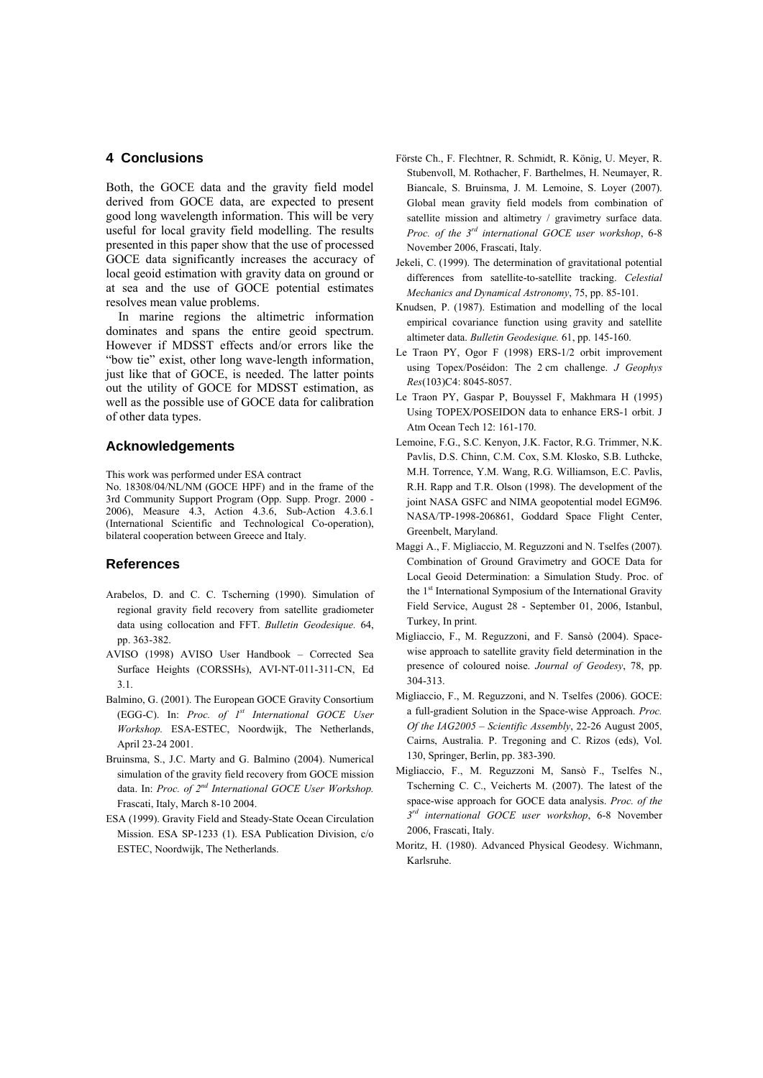#### **4 Conclusions**

Both, the GOCE data and the gravity field model derived from GOCE data, are expected to present good long wavelength information. This will be very useful for local gravity field modelling. The results presented in this paper show that the use of processed GOCE data significantly increases the accuracy of local geoid estimation with gravity data on ground or at sea and the use of GOCE potential estimates resolves mean value problems.

In marine regions the altimetric information dominates and spans the entire geoid spectrum. However if MDSST effects and/or errors like the "bow tie" exist, other long wave-length information, just like that of GOCE, is needed. The latter points out the utility of GOCE for MDSST estimation, as well as the possible use of GOCE data for calibration of other data types.

## **Acknowledgements**

This work was performed under ESA contract

No. 18308/04/NL/NM (GOCE HPF) and in the frame of the 3rd Community Support Program (Opp. Supp. Progr. 2000 - 2006), Measure 4.3, Action 4.3.6, Sub-Action 4.3.6.1 (International Scientific and Technological Co-operation), bilateral cooperation between Greece and Italy.

#### **References**

- Arabelos, D. and C. C. Tscherning (1990). Simulation of regional gravity field recovery from satellite gradiometer data using collocation and FFT. *Bulletin Geodesique.* 64, pp. 363-382.
- AVISO (1998) AVISO User Handbook Corrected Sea Surface Heights (CORSSHs), AVI-NT-011-311-CN, Ed 3.1.
- Balmino, G. (2001). The European GOCE Gravity Consortium (EGG-C). In: *Proc. of*  $I^{st}$  International GOCE User *Workshop.* ESA-ESTEC, Noordwijk, The Netherlands, April 23-24 2001.
- Bruinsma, S., J.C. Marty and G. Balmino (2004). Numerical simulation of the gravity field recovery from GOCE mission data. In: *Proc. of*  $2^{nd}$  International GOCE User Workshop. Frascati, Italy, March 8-10 2004.
- ESA (1999). Gravity Field and Steady-State Ocean Circulation Mission. ESA SP-1233 (1). ESA Publication Division, c/o ESTEC, Noordwijk, The Netherlands.
- Förste Ch., F. Flechtner, R. Schmidt, R. König, U. Meyer, R. Stubenvoll, M. Rothacher, F. Barthelmes, H. Neumayer, R. Biancale, S. Bruinsma, J. M. Lemoine, S. Loyer (2007). Global mean gravity field models from combination of satellite mission and altimetry / gravimetry surface data. *Proc. of the 3rd international GOCE user workshop*, 6-8 November 2006, Frascati, Italy.
- Jekeli, C. (1999). The determination of gravitational potential differences from satellite-to-satellite tracking. *Celestial Mechanics and Dynamical Astronomy*, 75, pp. 85-101.
- Knudsen, P. (1987). Estimation and modelling of the local empirical covariance function using gravity and satellite altimeter data. *Bulletin Geodesique.* 61, pp. 145-160.
- Le Traon PY, Ogor F (1998) ERS-1/2 orbit improvement using Topex/Poséidon: The 2 cm challenge. *J Geophys Res*(103)C4: 8045-8057.
- Le Traon PY, Gaspar P, Bouyssel F, Makhmara H (1995) Using TOPEX/POSEIDON data to enhance ERS-1 orbit. J Atm Ocean Tech 12: 161-170.
- Lemoine, F.G., S.C. Kenyon, J.K. Factor, R.G. Trimmer, N.K. Pavlis, D.S. Chinn, C.M. Cox, S.M. Klosko, S.B. Luthcke, M.H. Torrence, Y.M. Wang, R.G. Williamson, E.C. Pavlis, R.H. Rapp and T.R. Olson (1998). The development of the joint NASA GSFC and NIMA geopotential model EGM96. NASA/TP-1998-206861, Goddard Space Flight Center, Greenbelt, Maryland.
- Maggi A., F. Migliaccio, M. Reguzzoni and N. Tselfes (2007). Combination of Ground Gravimetry and GOCE Data for Local Geoid Determination: a Simulation Study. Proc. of the 1<sup>st</sup> International Symposium of the International Gravity Field Service, August 28 - September 01, 2006, Istanbul, Turkey, In print.
- Migliaccio, F., M. Reguzzoni, and F. Sansò (2004). Spacewise approach to satellite gravity field determination in the presence of coloured noise. *Journal of Geodesy*, 78, pp. 304-313.
- Migliaccio, F., M. Reguzzoni, and N. Tselfes (2006). GOCE: a full-gradient Solution in the Space-wise Approach. *Proc. Of the IAG2005 – Scientific Assembly*, 22-26 August 2005, Cairns, Australia. P. Tregoning and C. Rizos (eds), Vol. 130, Springer, Berlin, pp. 383-390.
- Migliaccio, F., M. Reguzzoni M, Sansò F., Tselfes N., Tscherning C. C., Veicherts M. (2007). The latest of the space-wise approach for GOCE data analysis. *Proc. of the 3rd international GOCE user workshop*, 6-8 November 2006, Frascati, Italy.
- Moritz, H. (1980). Advanced Physical Geodesy. Wichmann, Karlsruhe.